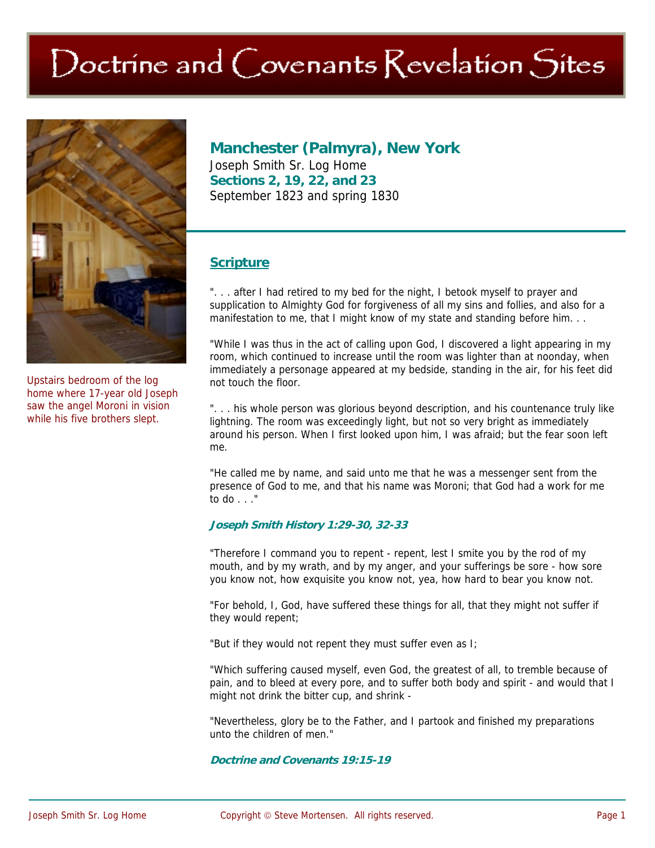# Doctrine and Covenants Revelation Sites



Upstairs bedroom of the log home where 17-year old Joseph saw the angel Moroni in vision while his five brothers slept.

**Manchester (Palmyra), New York**  Joseph Smith Sr. Log Home **Sections 2, 19, 22, and 23**  September 1823 and spring 1830

### **Scripture**

"... after I had retired to my bed for the night, I betook myself to prayer and supplication to Almighty God for forgiveness of all my sins and follies, and also for a manifestation to me, that I might know of my state and standing before him. . .

"While I was thus in the act of calling upon God, I discovered a light appearing in my room, which continued to increase until the room was lighter than at noonday, when immediately a personage appeared at my bedside, standing in the air, for his feet did not touch the floor.

". . . his whole person was glorious beyond description, and his countenance truly like lightning. The room was exceedingly light, but not so very bright as immediately around his person. When I first looked upon him, I was afraid; but the fear soon left me.

"He called me by name, and said unto me that he was a messenger sent from the presence of God to me, and that his name was Moroni; that God had a work for me to do . . ."

#### **Joseph Smith History 1:29-30, 32-33**

"Therefore I command you to repent - repent, lest I smite you by the rod of my mouth, and by my wrath, and by my anger, and your sufferings be sore - how sore you know not, how exquisite you know not, yea, how hard to bear you know not.

"For behold, I, God, have suffered these things for all, that they might not suffer if they would repent;

"But if they would not repent they must suffer even as I;

"Which suffering caused myself, even God, the greatest of all, to tremble because of pain, and to bleed at every pore, and to suffer both body and spirit - and would that I might not drink the bitter cup, and shrink -

"Nevertheless, glory be to the Father, and I partook and finished my preparations unto the children of men."

**Doctrine and Covenants 19:15-19**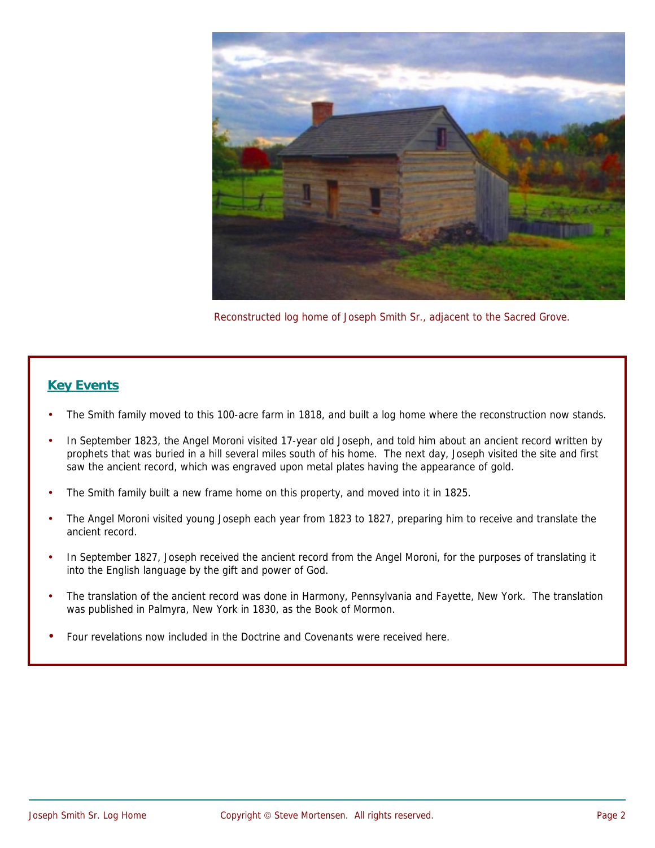

Reconstructed log home of Joseph Smith Sr., adjacent to the Sacred Grove.

# **Key Events**

- The Smith family moved to this 100-acre farm in 1818, and built a log home where the reconstruction now stands.
- In September 1823, the Angel Moroni visited 17-year old Joseph, and told him about an ancient record written by prophets that was buried in a hill several miles south of his home. The next day, Joseph visited the site and first saw the ancient record, which was engraved upon metal plates having the appearance of gold.
- The Smith family built a new frame home on this property, and moved into it in 1825.
- The Angel Moroni visited young Joseph each year from 1823 to 1827, preparing him to receive and translate the ancient record.
- In September 1827, Joseph received the ancient record from the Angel Moroni, for the purposes of translating it into the English language by the gift and power of God.
- The translation of the ancient record was done in Harmony, Pennsylvania and Fayette, New York. The translation was published in Palmyra, New York in 1830, as the Book of Mormon.
- Four revelations now included in the Doctrine and Covenants were received here.